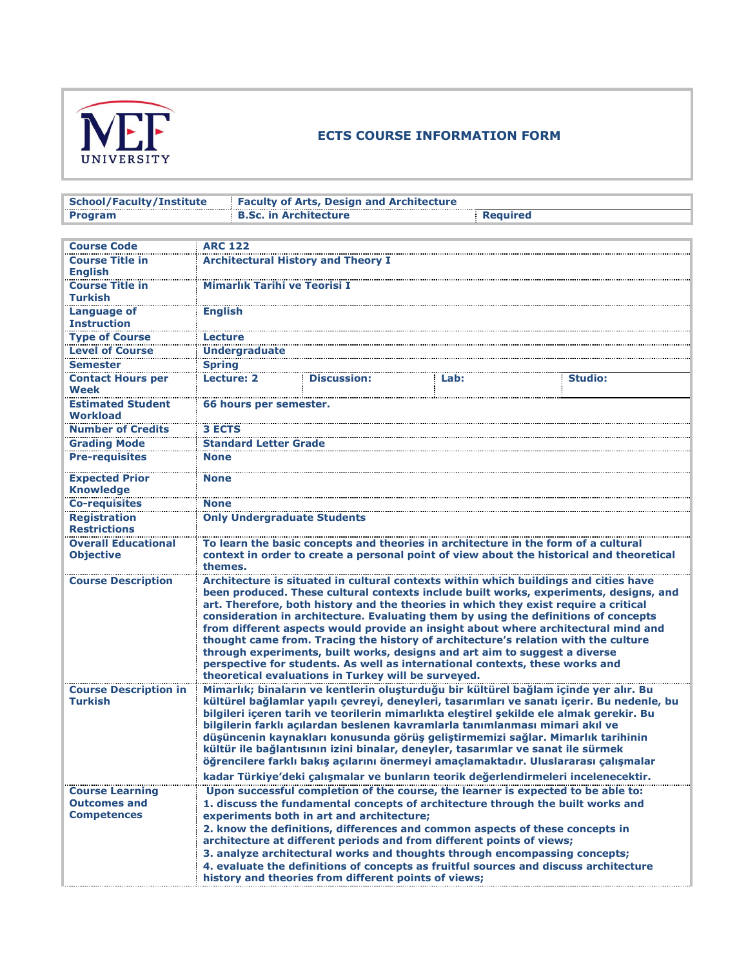

## **ECTS COURSE INFORMATION FORM**

| <b>School/Faculty/Institute</b>                |                                                                                                                                                                                                                                                                                                                                                                                                                                                                                                                                                                                                                                                                                                                                                               | <b>Faculty of Arts, Design and Architecture</b>                                  |      |                |  |  |
|------------------------------------------------|---------------------------------------------------------------------------------------------------------------------------------------------------------------------------------------------------------------------------------------------------------------------------------------------------------------------------------------------------------------------------------------------------------------------------------------------------------------------------------------------------------------------------------------------------------------------------------------------------------------------------------------------------------------------------------------------------------------------------------------------------------------|----------------------------------------------------------------------------------|------|----------------|--|--|
| <b>Program</b>                                 |                                                                                                                                                                                                                                                                                                                                                                                                                                                                                                                                                                                                                                                                                                                                                               | <b>B.Sc. in Architecture</b><br><b>Required</b>                                  |      |                |  |  |
|                                                |                                                                                                                                                                                                                                                                                                                                                                                                                                                                                                                                                                                                                                                                                                                                                               |                                                                                  |      |                |  |  |
| <b>Course Code</b>                             | <b>ARC 122</b>                                                                                                                                                                                                                                                                                                                                                                                                                                                                                                                                                                                                                                                                                                                                                |                                                                                  |      |                |  |  |
| <b>Course Title in</b>                         | <b>Architectural History and Theory I</b>                                                                                                                                                                                                                                                                                                                                                                                                                                                                                                                                                                                                                                                                                                                     |                                                                                  |      |                |  |  |
| <b>English</b>                                 |                                                                                                                                                                                                                                                                                                                                                                                                                                                                                                                                                                                                                                                                                                                                                               |                                                                                  |      |                |  |  |
| <b>Course Title in</b><br><b>Turkish</b>       | <b>Mimarlık Tarihi ve Teorisi I</b>                                                                                                                                                                                                                                                                                                                                                                                                                                                                                                                                                                                                                                                                                                                           |                                                                                  |      |                |  |  |
| <b>Language of</b><br><b>Instruction</b>       | <b>English</b>                                                                                                                                                                                                                                                                                                                                                                                                                                                                                                                                                                                                                                                                                                                                                |                                                                                  |      |                |  |  |
| <b>Type of Course</b>                          | <b>Lecture</b>                                                                                                                                                                                                                                                                                                                                                                                                                                                                                                                                                                                                                                                                                                                                                |                                                                                  |      |                |  |  |
| <b>Level of Course</b>                         | <b>Undergraduate</b>                                                                                                                                                                                                                                                                                                                                                                                                                                                                                                                                                                                                                                                                                                                                          |                                                                                  |      |                |  |  |
| <b>Semester</b>                                | <b>Spring</b>                                                                                                                                                                                                                                                                                                                                                                                                                                                                                                                                                                                                                                                                                                                                                 |                                                                                  |      |                |  |  |
| <b>Contact Hours per</b>                       | <b>Lecture: 2</b>                                                                                                                                                                                                                                                                                                                                                                                                                                                                                                                                                                                                                                                                                                                                             | <b>Discussion:</b>                                                               | Lab: | <b>Studio:</b> |  |  |
| Week                                           |                                                                                                                                                                                                                                                                                                                                                                                                                                                                                                                                                                                                                                                                                                                                                               |                                                                                  |      |                |  |  |
| <b>Estimated Student</b><br>Workload           | 66 hours per semester.                                                                                                                                                                                                                                                                                                                                                                                                                                                                                                                                                                                                                                                                                                                                        |                                                                                  |      |                |  |  |
| <b>Number of Credits</b>                       | <b>3 ECTS</b>                                                                                                                                                                                                                                                                                                                                                                                                                                                                                                                                                                                                                                                                                                                                                 |                                                                                  |      |                |  |  |
| <b>Grading Mode</b>                            | <b>Standard Letter Grade</b>                                                                                                                                                                                                                                                                                                                                                                                                                                                                                                                                                                                                                                                                                                                                  |                                                                                  |      |                |  |  |
| <b>Pre-requisites</b>                          | <b>None</b>                                                                                                                                                                                                                                                                                                                                                                                                                                                                                                                                                                                                                                                                                                                                                   |                                                                                  |      |                |  |  |
| <b>Expected Prior</b><br><b>Knowledge</b>      | <b>None</b>                                                                                                                                                                                                                                                                                                                                                                                                                                                                                                                                                                                                                                                                                                                                                   |                                                                                  |      |                |  |  |
| <b>Co-requisites</b>                           | <b>None</b>                                                                                                                                                                                                                                                                                                                                                                                                                                                                                                                                                                                                                                                                                                                                                   |                                                                                  |      |                |  |  |
| <b>Registration</b>                            | <b>Only Undergraduate Students</b>                                                                                                                                                                                                                                                                                                                                                                                                                                                                                                                                                                                                                                                                                                                            |                                                                                  |      |                |  |  |
| <b>Restrictions</b>                            |                                                                                                                                                                                                                                                                                                                                                                                                                                                                                                                                                                                                                                                                                                                                                               |                                                                                  |      |                |  |  |
| <b>Overall Educational</b><br><b>Objective</b> | To learn the basic concepts and theories in architecture in the form of a cultural<br>context in order to create a personal point of view about the historical and theoretical<br>themes.                                                                                                                                                                                                                                                                                                                                                                                                                                                                                                                                                                     |                                                                                  |      |                |  |  |
| <b>Course Description</b>                      | Architecture is situated in cultural contexts within which buildings and cities have<br>been produced. These cultural contexts include built works, experiments, designs, and<br>art. Therefore, both history and the theories in which they exist require a critical<br>consideration in architecture. Evaluating them by using the definitions of concepts<br>from different aspects would provide an insight about where architectural mind and<br>thought came from. Tracing the history of architecture's relation with the culture<br>through experiments, built works, designs and art aim to suggest a diverse<br>perspective for students. As well as international contexts, these works and<br>theoretical evaluations in Turkey will be surveyed. |                                                                                  |      |                |  |  |
| <b>Course Description in</b><br><b>Turkish</b> | Mimarlık; binaların ve kentlerin oluşturduğu bir kültürel bağlam içinde yer alır. Bu<br>kültürel bağlamlar yapılı çevreyi, deneyleri, tasarımları ve sanatı içerir. Bu nedenle, bu<br>bilgileri içeren tarih ve teorilerin mimarlıkta eleştirel şekilde ele almak gerekir. Bu<br>bilgilerin farklı açılardan beslenen kavramlarla tanımlanması mimari akıl ve<br>düşüncenin kaynakları konusunda görüş geliştirmemizi sağlar. Mimarlık tarihinin<br>kültür ile bağlantısının izini binalar, deneyler, tasarımlar ve sanat ile sürmek<br>öğrencilere farklı bakış açılarını önermeyi amaçlamaktadır. Uluslararası çalışmalar<br>kadar Türkiye'deki çalışmalar ve bunların teorik değerlendirmeleri incelenecektir.                                             |                                                                                  |      |                |  |  |
| <b>Course Learning</b>                         |                                                                                                                                                                                                                                                                                                                                                                                                                                                                                                                                                                                                                                                                                                                                                               | Upon successful completion of the course, the learner is expected to be able to: |      |                |  |  |
| <b>Outcomes and</b>                            |                                                                                                                                                                                                                                                                                                                                                                                                                                                                                                                                                                                                                                                                                                                                                               | 1. discuss the fundamental concepts of architecture through the built works and  |      |                |  |  |
| <b>Competences</b>                             |                                                                                                                                                                                                                                                                                                                                                                                                                                                                                                                                                                                                                                                                                                                                                               | experiments both in art and architecture;                                        |      |                |  |  |
|                                                |                                                                                                                                                                                                                                                                                                                                                                                                                                                                                                                                                                                                                                                                                                                                                               | 2. know the definitions, differences and common aspects of these concepts in     |      |                |  |  |
|                                                |                                                                                                                                                                                                                                                                                                                                                                                                                                                                                                                                                                                                                                                                                                                                                               | architecture at different periods and from different points of views;            |      |                |  |  |
|                                                | 3. analyze architectural works and thoughts through encompassing concepts;                                                                                                                                                                                                                                                                                                                                                                                                                                                                                                                                                                                                                                                                                    |                                                                                  |      |                |  |  |
|                                                | 4. evaluate the definitions of concepts as fruitful sources and discuss architecture<br>history and theories from different points of views;                                                                                                                                                                                                                                                                                                                                                                                                                                                                                                                                                                                                                  |                                                                                  |      |                |  |  |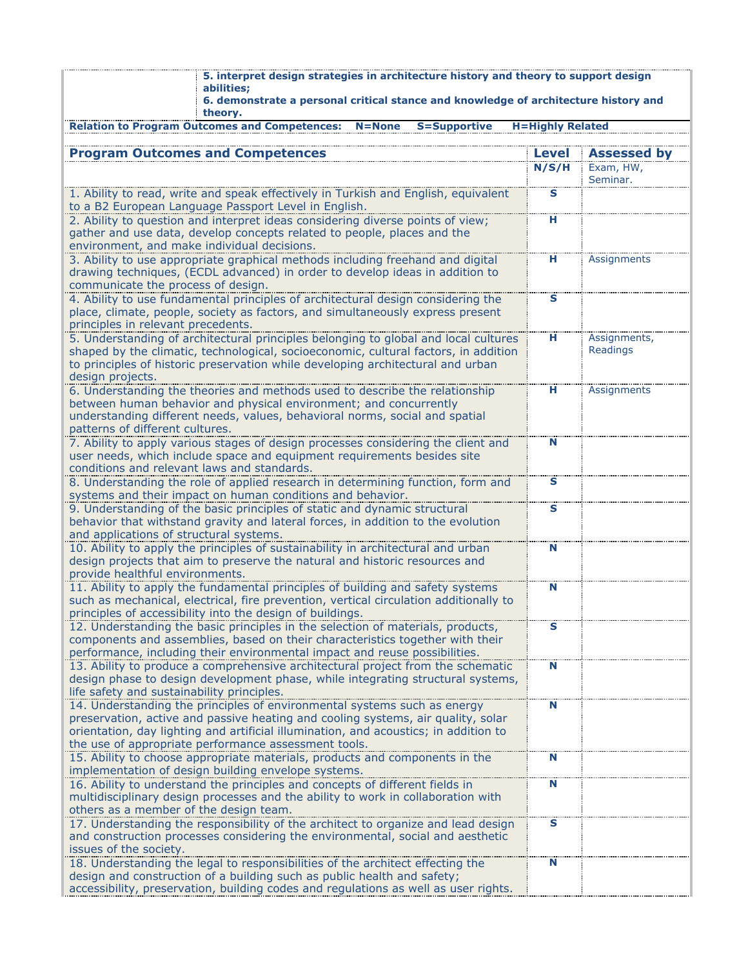| 5. interpret design strategies in architecture history and theory to support design<br>abilities;                                                                       |                         |                       |  |  |  |  |
|-------------------------------------------------------------------------------------------------------------------------------------------------------------------------|-------------------------|-----------------------|--|--|--|--|
| 6. demonstrate a personal critical stance and knowledge of architecture history and<br>theory.                                                                          |                         |                       |  |  |  |  |
| <b>Relation to Program Outcomes and Competences:</b><br><b>S=Supportive</b><br><b>H=Highly Related</b><br>$N = None$                                                    |                         |                       |  |  |  |  |
| <b>Program Outcomes and Competences</b>                                                                                                                                 | <b>Level</b>            | <b>Assessed by</b>    |  |  |  |  |
|                                                                                                                                                                         | N/S/H                   | Exam, HW,<br>Seminar. |  |  |  |  |
| 1. Ability to read, write and speak effectively in Turkish and English, equivalent                                                                                      | s                       |                       |  |  |  |  |
| to a B2 European Language Passport Level in English.<br>2. Ability to question and interpret ideas considering diverse points of view;                                  | н                       |                       |  |  |  |  |
| gather and use data, develop concepts related to people, places and the                                                                                                 |                         |                       |  |  |  |  |
| environment, and make individual decisions.                                                                                                                             |                         |                       |  |  |  |  |
| 3. Ability to use appropriate graphical methods including freehand and digital<br>drawing techniques, (ECDL advanced) in order to develop ideas in addition to          | н                       | Assignments           |  |  |  |  |
| communicate the process of design.                                                                                                                                      |                         |                       |  |  |  |  |
| 4. Ability to use fundamental principles of architectural design considering the<br>place, climate, people, society as factors, and simultaneously express present      | $\mathbf{s}$            |                       |  |  |  |  |
| principles in relevant precedents.                                                                                                                                      |                         |                       |  |  |  |  |
| 5. Understanding of architectural principles belonging to global and local cultures                                                                                     | н                       | Assignments,          |  |  |  |  |
| shaped by the climatic, technological, socioeconomic, cultural factors, in addition<br>to principles of historic preservation while developing architectural and urban  |                         | Readings              |  |  |  |  |
| design projects.                                                                                                                                                        |                         |                       |  |  |  |  |
| 6. Understanding the theories and methods used to describe the relationship<br>between human behavior and physical environment; and concurrently                        | н                       | Assignments           |  |  |  |  |
| understanding different needs, values, behavioral norms, social and spatial                                                                                             |                         |                       |  |  |  |  |
| patterns of different cultures.                                                                                                                                         |                         |                       |  |  |  |  |
| 7. Ability to apply various stages of design processes considering the client and<br>user needs, which include space and equipment requirements besides site            | N                       |                       |  |  |  |  |
| conditions and relevant laws and standards.                                                                                                                             |                         |                       |  |  |  |  |
| 8. Understanding the role of applied research in determining function, form and                                                                                         | s                       |                       |  |  |  |  |
| systems and their impact on human conditions and behavior.<br>9. Understanding of the basic principles of static and dynamic structural                                 | $\overline{\mathbf{s}}$ |                       |  |  |  |  |
| behavior that withstand gravity and lateral forces, in addition to the evolution                                                                                        |                         |                       |  |  |  |  |
| and applications of structural systems.                                                                                                                                 |                         |                       |  |  |  |  |
| 10. Ability to apply the principles of sustainability in architectural and urban<br>design projects that aim to preserve the natural and historic resources and         | N                       |                       |  |  |  |  |
| provide healthful environments.                                                                                                                                         |                         |                       |  |  |  |  |
| 11. Ability to apply the fundamental principles of building and safety systems<br>such as mechanical, electrical, fire prevention, vertical circulation additionally to | N                       |                       |  |  |  |  |
| principles of accessibility into the design of buildings.                                                                                                               |                         |                       |  |  |  |  |
| 12. Understanding the basic principles in the selection of materials, products,                                                                                         | s                       |                       |  |  |  |  |
| components and assemblies, based on their characteristics together with their<br>performance, including their environmental impact and reuse possibilities.             |                         |                       |  |  |  |  |
| 13. Ability to produce a comprehensive architectural project from the schematic                                                                                         | N                       |                       |  |  |  |  |
| design phase to design development phase, while integrating structural systems,                                                                                         |                         |                       |  |  |  |  |
| life safety and sustainability principles.<br>14. Understanding the principles of environmental systems such as energy                                                  | N                       |                       |  |  |  |  |
| preservation, active and passive heating and cooling systems, air quality, solar                                                                                        |                         |                       |  |  |  |  |
| orientation, day lighting and artificial illumination, and acoustics; in addition to<br>the use of appropriate performance assessment tools.                            |                         |                       |  |  |  |  |
| 15. Ability to choose appropriate materials, products and components in the                                                                                             | N                       |                       |  |  |  |  |
| implementation of design building envelope systems.                                                                                                                     |                         |                       |  |  |  |  |
| 16. Ability to understand the principles and concepts of different fields in<br>multidisciplinary design processes and the ability to work in collaboration with        | N                       |                       |  |  |  |  |
| others as a member of the design team.                                                                                                                                  |                         |                       |  |  |  |  |
| 17. Understanding the responsibility of the architect to organize and lead design                                                                                       | s                       |                       |  |  |  |  |
| and construction processes considering the environmental, social and aesthetic<br>issues of the society.                                                                |                         |                       |  |  |  |  |
| 18. Understanding the legal to responsibilities of the architect effecting the                                                                                          | N                       |                       |  |  |  |  |
| design and construction of a building such as public health and safety;<br>accessibility, preservation, building codes and regulations as well as user rights.          |                         |                       |  |  |  |  |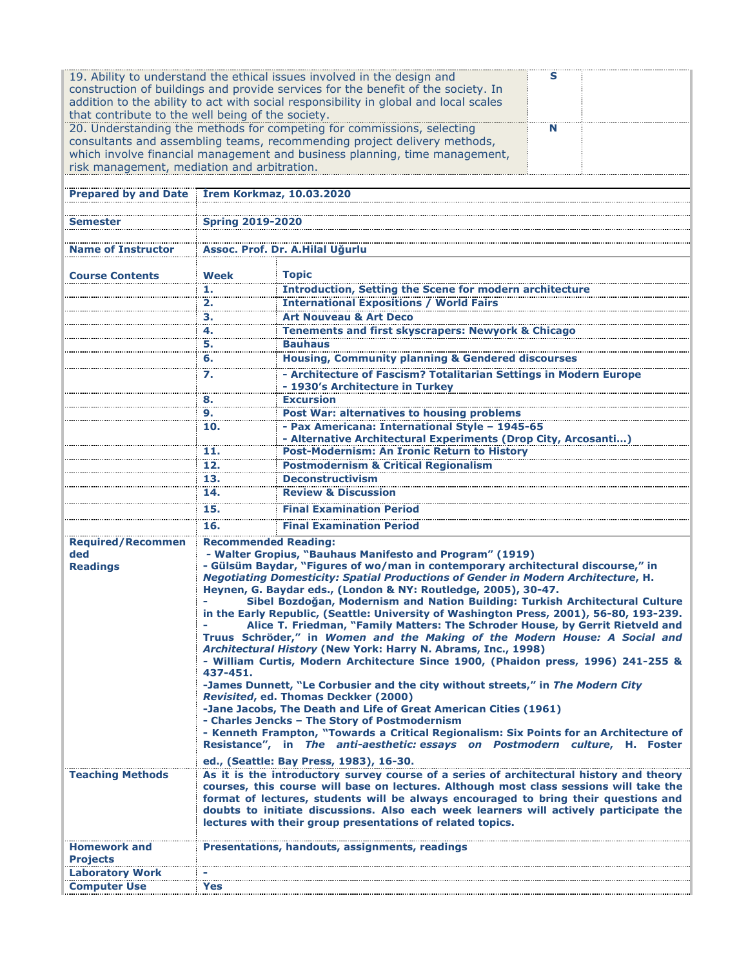| 19. Ability to understand the ethical issues involved in the design and<br>s<br>construction of buildings and provide services for the benefit of the society. In<br>addition to the ability to act with social responsibility in global and local scales<br>that contribute to the well being of the society. |                                                                                                                                                                              |                                                                                                                                                                                   |  |  |  |  |
|----------------------------------------------------------------------------------------------------------------------------------------------------------------------------------------------------------------------------------------------------------------------------------------------------------------|------------------------------------------------------------------------------------------------------------------------------------------------------------------------------|-----------------------------------------------------------------------------------------------------------------------------------------------------------------------------------|--|--|--|--|
| 20. Understanding the methods for competing for commissions, selecting<br>N<br>consultants and assembling teams, recommending project delivery methods,                                                                                                                                                        |                                                                                                                                                                              |                                                                                                                                                                                   |  |  |  |  |
| which involve financial management and business planning, time management,<br>risk management, mediation and arbitration.                                                                                                                                                                                      |                                                                                                                                                                              |                                                                                                                                                                                   |  |  |  |  |
|                                                                                                                                                                                                                                                                                                                |                                                                                                                                                                              |                                                                                                                                                                                   |  |  |  |  |
| Prepared by and Date Irem Korkmaz, 10.03.2020                                                                                                                                                                                                                                                                  |                                                                                                                                                                              |                                                                                                                                                                                   |  |  |  |  |
| Semester                                                                                                                                                                                                                                                                                                       |                                                                                                                                                                              |                                                                                                                                                                                   |  |  |  |  |
|                                                                                                                                                                                                                                                                                                                | <b>Spring 2019-2020</b>                                                                                                                                                      |                                                                                                                                                                                   |  |  |  |  |
| <b>Name of Instructor</b>                                                                                                                                                                                                                                                                                      | Assoc. Prof. Dr. A.Hilal Uğurlu                                                                                                                                              |                                                                                                                                                                                   |  |  |  |  |
| <b>Course Contents</b>                                                                                                                                                                                                                                                                                         | <b>Week</b>                                                                                                                                                                  | <b>Topic</b>                                                                                                                                                                      |  |  |  |  |
|                                                                                                                                                                                                                                                                                                                | 1.                                                                                                                                                                           | <b>Introduction, Setting the Scene for modern architecture</b>                                                                                                                    |  |  |  |  |
|                                                                                                                                                                                                                                                                                                                | 2.                                                                                                                                                                           | <b>International Expositions / World Fairs</b>                                                                                                                                    |  |  |  |  |
|                                                                                                                                                                                                                                                                                                                | з.                                                                                                                                                                           | <b>Art Nouveau &amp; Art Deco</b>                                                                                                                                                 |  |  |  |  |
|                                                                                                                                                                                                                                                                                                                | 4.                                                                                                                                                                           | <b>Tenements and first skyscrapers: Newyork &amp; Chicago</b>                                                                                                                     |  |  |  |  |
|                                                                                                                                                                                                                                                                                                                | 5.                                                                                                                                                                           | <b>Bauhaus</b>                                                                                                                                                                    |  |  |  |  |
|                                                                                                                                                                                                                                                                                                                | 6.                                                                                                                                                                           | <b>Housing, Community planning &amp; Gendered discourses</b>                                                                                                                      |  |  |  |  |
|                                                                                                                                                                                                                                                                                                                | 7.                                                                                                                                                                           | - Architecture of Fascism? Totalitarian Settings in Modern Europe                                                                                                                 |  |  |  |  |
|                                                                                                                                                                                                                                                                                                                | 8.                                                                                                                                                                           | - 1930's Architecture in Turkey<br><b>Excursion</b>                                                                                                                               |  |  |  |  |
|                                                                                                                                                                                                                                                                                                                | 9.                                                                                                                                                                           | Post War: alternatives to housing problems                                                                                                                                        |  |  |  |  |
|                                                                                                                                                                                                                                                                                                                | 10.                                                                                                                                                                          | - Pax Americana: International Style - 1945-65                                                                                                                                    |  |  |  |  |
|                                                                                                                                                                                                                                                                                                                |                                                                                                                                                                              | - Alternative Architectural Experiments (Drop City, Arcosanti)                                                                                                                    |  |  |  |  |
|                                                                                                                                                                                                                                                                                                                | 11.                                                                                                                                                                          | Post-Modernism: An Ironic Return to History                                                                                                                                       |  |  |  |  |
|                                                                                                                                                                                                                                                                                                                | 12.                                                                                                                                                                          | <b>Postmodernism &amp; Critical Regionalism</b>                                                                                                                                   |  |  |  |  |
|                                                                                                                                                                                                                                                                                                                | 13.                                                                                                                                                                          | <b>Deconstructivism</b>                                                                                                                                                           |  |  |  |  |
|                                                                                                                                                                                                                                                                                                                | 14.                                                                                                                                                                          | <b>Review &amp; Discussion</b>                                                                                                                                                    |  |  |  |  |
|                                                                                                                                                                                                                                                                                                                | 15.                                                                                                                                                                          | <b>Final Examination Period</b>                                                                                                                                                   |  |  |  |  |
|                                                                                                                                                                                                                                                                                                                | 16.                                                                                                                                                                          | <b>Final Examination Period</b>                                                                                                                                                   |  |  |  |  |
| <b>Required/Recommen</b>                                                                                                                                                                                                                                                                                       | <b>Recommended Reading:</b>                                                                                                                                                  |                                                                                                                                                                                   |  |  |  |  |
| ded                                                                                                                                                                                                                                                                                                            |                                                                                                                                                                              | - Walter Gropius, "Bauhaus Manifesto and Program" (1919)                                                                                                                          |  |  |  |  |
| <b>Readings</b>                                                                                                                                                                                                                                                                                                |                                                                                                                                                                              | - Gülsüm Baydar, "Figures of wo/man in contemporary architectural discourse," in<br>Negotiating Domesticity: Spatial Productions of Gender in Modern Architecture, H.             |  |  |  |  |
|                                                                                                                                                                                                                                                                                                                |                                                                                                                                                                              | Heynen, G. Baydar eds., (London & NY: Routledge, 2005), 30-47.                                                                                                                    |  |  |  |  |
|                                                                                                                                                                                                                                                                                                                |                                                                                                                                                                              | Sibel Bozdoğan, Modernism and Nation Building: Turkish Architectural Culture                                                                                                      |  |  |  |  |
|                                                                                                                                                                                                                                                                                                                |                                                                                                                                                                              | in the Early Republic, (Seattle: University of Washington Press, 2001), 56-80, 193-239.                                                                                           |  |  |  |  |
|                                                                                                                                                                                                                                                                                                                |                                                                                                                                                                              | Alice T. Friedman, "Family Matters: The Schroder House, by Gerrit Rietveld and<br>Truus Schröder," in Women and the Making of the Modern House: A Social and                      |  |  |  |  |
|                                                                                                                                                                                                                                                                                                                |                                                                                                                                                                              | Architectural History (New York: Harry N. Abrams, Inc., 1998)                                                                                                                     |  |  |  |  |
|                                                                                                                                                                                                                                                                                                                |                                                                                                                                                                              | - William Curtis, Modern Architecture Since 1900, (Phaidon press, 1996) 241-255 &                                                                                                 |  |  |  |  |
|                                                                                                                                                                                                                                                                                                                | 437-451.                                                                                                                                                                     |                                                                                                                                                                                   |  |  |  |  |
|                                                                                                                                                                                                                                                                                                                | -James Dunnett, "Le Corbusier and the city without streets," in The Modern City<br>Revisited, ed. Thomas Deckker (2000)                                                      |                                                                                                                                                                                   |  |  |  |  |
|                                                                                                                                                                                                                                                                                                                |                                                                                                                                                                              | -Jane Jacobs, The Death and Life of Great American Cities (1961)                                                                                                                  |  |  |  |  |
|                                                                                                                                                                                                                                                                                                                |                                                                                                                                                                              | - Charles Jencks - The Story of Postmodernism                                                                                                                                     |  |  |  |  |
|                                                                                                                                                                                                                                                                                                                | - Kenneth Frampton, "Towards a Critical Regionalism: Six Points for an Architecture of<br>Resistance", in The anti-aesthetic: essays on Postmodern culture, H. Foster        |                                                                                                                                                                                   |  |  |  |  |
|                                                                                                                                                                                                                                                                                                                |                                                                                                                                                                              |                                                                                                                                                                                   |  |  |  |  |
|                                                                                                                                                                                                                                                                                                                |                                                                                                                                                                              | ed., (Seattle: Bay Press, 1983), 16-30.                                                                                                                                           |  |  |  |  |
| <b>Teaching Methods</b>                                                                                                                                                                                                                                                                                        |                                                                                                                                                                              | As it is the introductory survey course of a series of architectural history and theory<br>courses, this course will base on lectures. Although most class sessions will take the |  |  |  |  |
|                                                                                                                                                                                                                                                                                                                |                                                                                                                                                                              |                                                                                                                                                                                   |  |  |  |  |
|                                                                                                                                                                                                                                                                                                                | format of lectures, students will be always encouraged to bring their questions and<br>doubts to initiate discussions. Also each week learners will actively participate the |                                                                                                                                                                                   |  |  |  |  |
|                                                                                                                                                                                                                                                                                                                |                                                                                                                                                                              | lectures with their group presentations of related topics.                                                                                                                        |  |  |  |  |
| <b>Homework and</b>                                                                                                                                                                                                                                                                                            |                                                                                                                                                                              | Presentations, handouts, assignments, readings                                                                                                                                    |  |  |  |  |
| <b>Projects</b>                                                                                                                                                                                                                                                                                                |                                                                                                                                                                              |                                                                                                                                                                                   |  |  |  |  |
| <b>Laboratory Work</b>                                                                                                                                                                                                                                                                                         |                                                                                                                                                                              |                                                                                                                                                                                   |  |  |  |  |
| <b>Computer Use</b>                                                                                                                                                                                                                                                                                            | Yes                                                                                                                                                                          |                                                                                                                                                                                   |  |  |  |  |